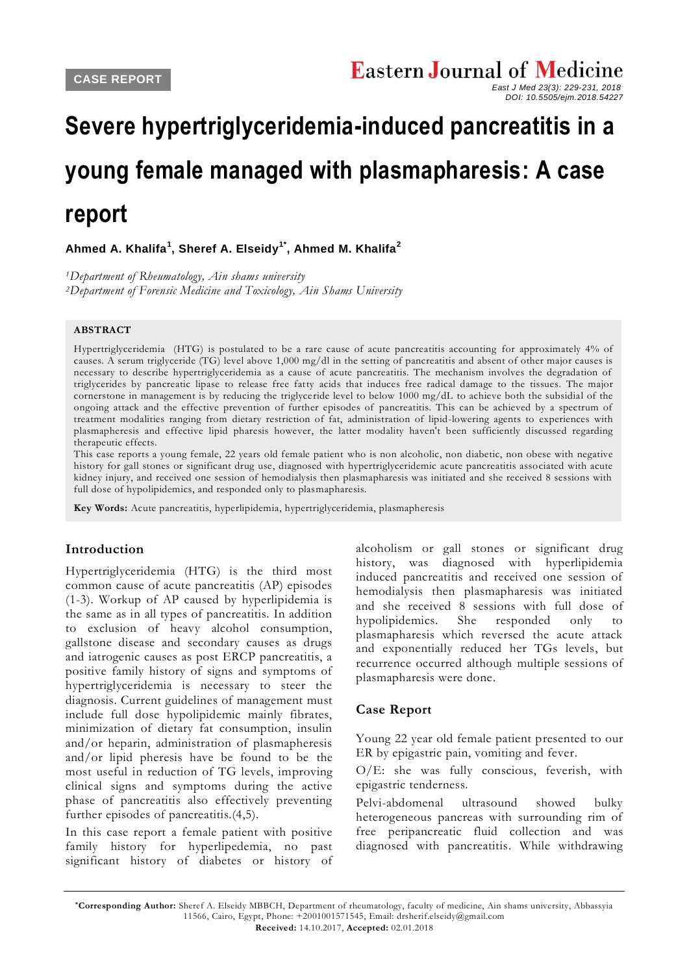*DOI: 10.5505/ejm.2018.54227*

**Ahmed A. Khalifa<sup>1</sup> , Sheref A. Elseidy1\* , Ahmed M. Khalifa<sup>2</sup>**

*<sup>1</sup>Department of Rheumatology, Ain shams university <sup>2</sup>Department of Forensic Medicine and Toxicology, Ain Shams University*

#### **ABSTRACT**

Hypertriglyceridemia (HTG) is postulated to be a rare cause of acute pancreatitis accounting for approximately 4% of causes. A serum triglyceride (TG) level above 1,000 mg/dl in the setting of pancreatitis and absent of other major causes is necessary to describe hypertriglyceridemia as a cause of acute pancreatitis. The mechanism involves the degradation of triglycerides by pancreatic lipase to release free fatty acids that induces free radical damage to the tissues. The major cornerstone in management is by reducing the triglyce ride level to below 1000 mg/dL to achieve both the subsidial of the ongoing attack and the effective prevention of further episodes of pancreatitis. This can be achieved by a spectrum of treatment modalities ranging from dietary restriction of fat, administration of lipid-lowering agents to experiences with plasmapheresis and effective lipid pharesis however, the latter modality haven't been sufficiently discussed regarding therapeutic effects.

This case reports a young female, 22 years old female patient who is non alcoholic, non diabetic, non obese with negative history for gall stones or significant drug use, diagnosed with hypertriglyceridemic acute pancreatitis associated with acute kidney injury, and received one session of hemodialysis then plasmapharesis was initiated and she received 8 sessions with full dose of hypolipidemics, and responded only to plasmapharesis.

**Key Words:** Acute pancreatitis, hyperlipidemia, hypertriglyceridemia, plasmapheresis

#### **Introduction**

Hypertriglyceridemia (HTG) is the third most common cause of acute pancreatitis (AP) episodes (1-3). Workup of AP caused by hyperlipidemia is the same as in all types of pancreatitis. In addition to exclusion of heavy alcohol consumption, gallstone disease and secondary causes as drugs and iatrogenic causes as post ERCP pancreatitis, a positive family history of signs and symptoms of hypertriglyceridemia is necessary to steer the diagnosis. Current guidelines of management must include full dose hypolipidemic mainly fibrates, minimization of dietary fat consumption, insulin and/or heparin, administration of plasmapheresis and/or lipid pheresis have be found to be the most useful in reduction of TG levels, improving clinical signs and symptoms during the active phase of pancreatitis also effectively preventing further episodes of pancreatitis.(4,5).

In this case report a female patient with positive family history for hyperlipedemia, no past significant history of diabetes or history of

alcoholism or gall stones or significant drug history, was diagnosed with hyperlipidemia induced pancreatitis and received one session of hemodialysis then plasmapharesis was initiated and she received 8 sessions with full dose of hypolipidemics. She responded only to plasmapharesis which reversed the acute attack and exponentially reduced her TGs levels, but recurrence occurred although multiple sessions of plasmapharesis were done.

## **Case Report**

Young 22 year old female patient presented to our ER by epigastric pain, vomiting and fever.

O/E: she was fully conscious, feverish, with epigastric tenderness.

Pelvi-abdomenal ultrasound showed bulky heterogeneous pancreas with surrounding rim of free peripancreatic fluid collection and was diagnosed with pancreatitis. While withdrawing

**\*Corresponding Author:** Sheref A. Elseidy MBBCH, Department of rheumatology, faculty of medicine, Ain shams university, Abbassyia 11566, Cairo, Egypt, Phone: +2001001571545, Email: drsherif.elseidy@gmail.com **Received:** 14.10.2017, **Accepted:** 02.01.2018

**Severe hypertriglyceridemia-induced pancreatitis in a young female managed with plasmapharesis: A case report**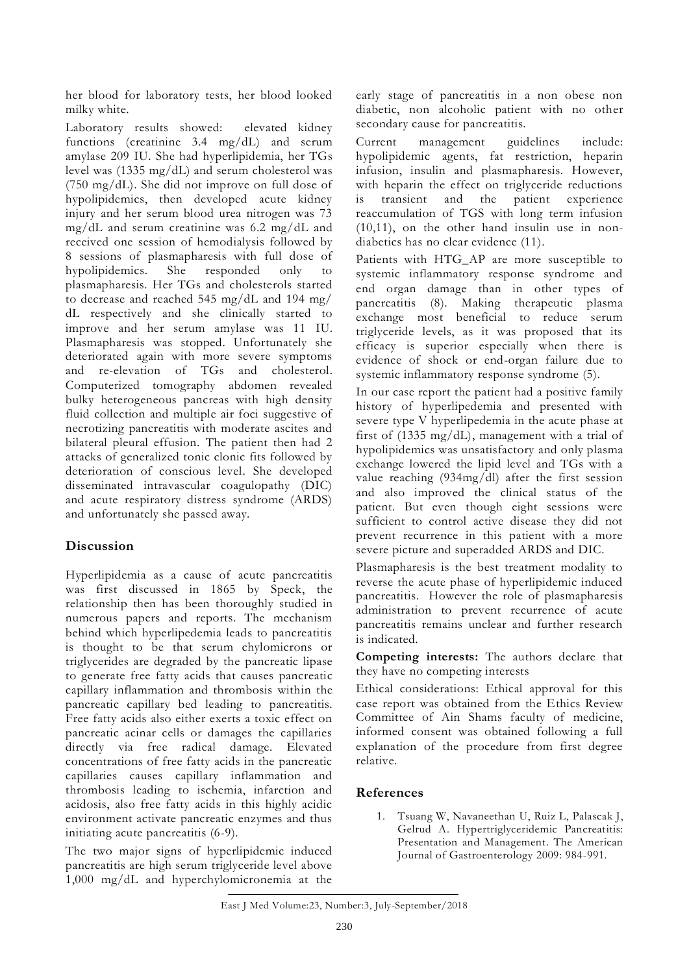her blood for laboratory tests, her blood looked milky white.

Laboratory results showed: elevated kidney functions (creatinine 3.4 mg/dL) and serum amylase 209 IU. She had hyperlipidemia, her TGs level was (1335 mg/dL) and serum cholesterol was (750 mg/dL). She did not improve on full dose of hypolipidemics, then developed acute kidney injury and her serum blood urea nitrogen was 73 mg/dL and serum creatinine was 6.2 mg/dL and received one session of hemodialysis followed by 8 sessions of plasmapharesis with full dose of hypolipidemics. She responded only to plasmapharesis. Her TGs and cholesterols started to decrease and reached 545 mg/dL and 194 mg/ dL respectively and she clinically started to improve and her serum amylase was 11 IU. Plasmapharesis was stopped. Unfortunately she deteriorated again with more severe symptoms and re-elevation of TGs and cholesterol. Computerized tomography abdomen revealed bulky heterogeneous pancreas with high density fluid collection and multiple air foci suggestive of necrotizing pancreatitis with moderate ascites and bilateral pleural effusion. The patient then had 2 attacks of generalized tonic clonic fits followed by deterioration of conscious level. She developed disseminated intravascular coagulopathy (DIC) and acute respiratory distress syndrome (ARDS) and unfortunately she passed away.

# **Discussion**

Hyperlipidemia as a cause of acute pancreatitis was first discussed in 1865 by Speck, the relationship then has been thoroughly studied in numerous papers and reports. The mechanism behind which hyperlipedemia leads to pancreatitis is thought to be that serum chylomicrons or triglycerides are degraded by the pancreatic lipase to generate free fatty acids that causes pancreatic capillary inflammation and thrombosis within the pancreatic capillary bed leading to pancreatitis. Free fatty acids also either exerts a toxic effect on pancreatic acinar cells or damages the capillaries directly via free radical damage. Elevated concentrations of free fatty acids in the pancreatic capillaries causes capillary inflammation and thrombosis leading to ischemia, infarction and acidosis, also free fatty acids in this highly acidic environment activate pancreatic enzymes and thus initiating acute pancreatitis (6-9).

The two major signs of hyperlipidemic induced pancreatitis are high serum triglyceride level above 1,000 mg/dL and hyperchylomicronemia at the

early stage of pancreatitis in a non obese non diabetic, non alcoholic patient with no other secondary cause for pancreatitis.

Current management guidelines include: hypolipidemic agents, fat restriction, heparin infusion, insulin and plasmapharesis. However, with heparin the effect on triglyceride reductions is transient and the patient experience reaccumulation of TGS with long term infusion (10,11), on the other hand insulin use in nondiabetics has no clear evidence (11).

Patients with HTG\_AP are more susceptible to systemic inflammatory response syndrome and end organ damage than in other types of pancreatitis (8). Making therapeutic plasma exchange most beneficial to reduce serum triglyceride levels, as it was proposed that its efficacy is superior especially when there is evidence of shock or end-organ failure due to systemic inflammatory response syndrome (5).

In our case report the patient had a positive family history of hyperlipedemia and presented with severe type V hyperlipedemia in the acute phase at first of (1335 mg/dL), management with a trial of hypolipidemics was unsatisfactory and only plasma exchange lowered the lipid level and TGs with a value reaching (934mg/dl) after the first session and also improved the clinical status of the patient. But even though eight sessions were sufficient to control active disease they did not prevent recurrence in this patient with a more severe picture and superadded ARDS and DIC.

Plasmapharesis is the best treatment modality to reverse the acute phase of hyperlipidemic induced pancreatitis. However the role of plasmapharesis administration to prevent recurrence of acute pancreatitis remains unclear and further research is indicated.

**Competing interests:** The authors declare that they have no competing interests

Ethical considerations: Ethical approval for this case report was obtained from the Ethics Review Committee of Ain Shams faculty of medicine, informed consent was obtained following a full explanation of the procedure from first degree relative.

## **References**

1. Tsuang W, Navaneethan U, Ruiz L, Palascak J, Gelrud A. Hypertriglyceridemic Pancreatitis: Presentation and Management. The American Journal of Gastroenterology 2009: 984-991.

East J Med Volume:23, Number:3, July-September/2018